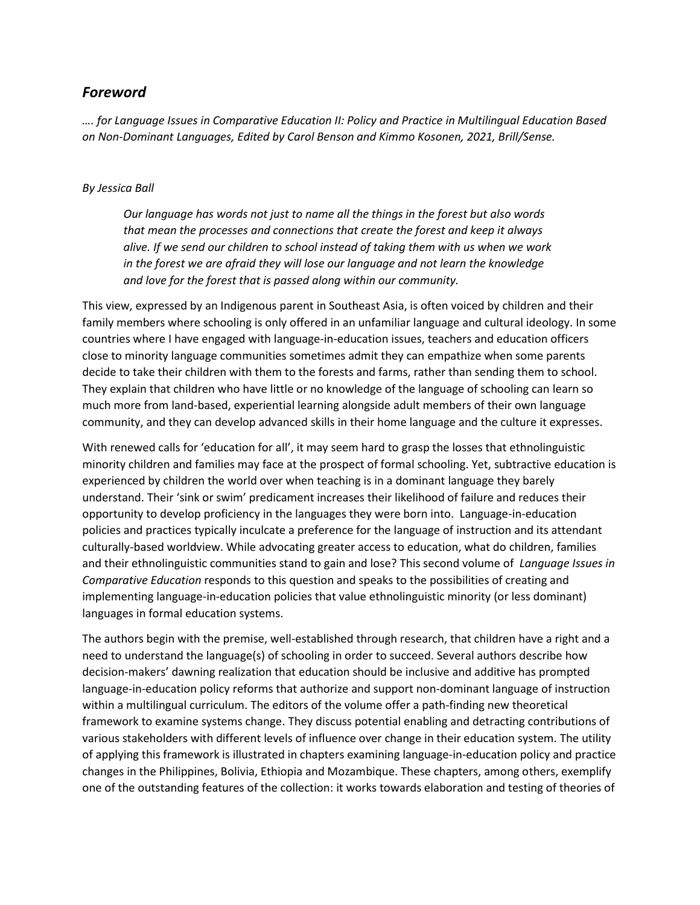## *Foreword*

*…. for Language Issues in Comparative Education II: Policy and Practice in Multilingual Education Based on Non-Dominant Languages, Edited by Carol Benson and Kimmo Kosonen, 2021, Brill/Sense.*

## *By Jessica Ball*

*Our language has words not just to name all the things in the forest but also words that mean the processes and connections that create the forest and keep it always alive. If we send our children to school instead of taking them with us when we work in the forest we are afraid they will lose our language and not learn the knowledge and love for the forest that is passed along within our community.*

This view, expressed by an Indigenous parent in Southeast Asia, is often voiced by children and their family members where schooling is only offered in an unfamiliar language and cultural ideology. In some countries where I have engaged with language-in-education issues, teachers and education officers close to minority language communities sometimes admit they can empathize when some parents decide to take their children with them to the forests and farms, rather than sending them to school. They explain that children who have little or no knowledge of the language of schooling can learn so much more from land-based, experiential learning alongside adult members of their own language community, and they can develop advanced skills in their home language and the culture it expresses.

With renewed calls for 'education for all', it may seem hard to grasp the losses that ethnolinguistic minority children and families may face at the prospect of formal schooling. Yet, subtractive education is experienced by children the world over when teaching is in a dominant language they barely understand. Their 'sink or swim' predicament increases their likelihood of failure and reduces their opportunity to develop proficiency in the languages they were born into. Language-in-education policies and practices typically inculcate a preference for the language of instruction and its attendant culturally-based worldview. While advocating greater access to education, what do children, families and their ethnolinguistic communities stand to gain and lose? This second volume of *Language Issues in Comparative Education* responds to this question and speaks to the possibilities of creating and implementing language-in-education policies that value ethnolinguistic minority (or less dominant) languages in formal education systems.

The authors begin with the premise, well-established through research, that children have a right and a need to understand the language(s) of schooling in order to succeed. Several authors describe how decision-makers' dawning realization that education should be inclusive and additive has prompted language-in-education policy reforms that authorize and support non-dominant language of instruction within a multilingual curriculum. The editors of the volume offer a path-finding new theoretical framework to examine systems change. They discuss potential enabling and detracting contributions of various stakeholders with different levels of influence over change in their education system. The utility of applying this framework is illustrated in chapters examining language-in-education policy and practice changes in the Philippines, Bolivia, Ethiopia and Mozambique. These chapters, among others, exemplify one of the outstanding features of the collection: it works towards elaboration and testing of theories of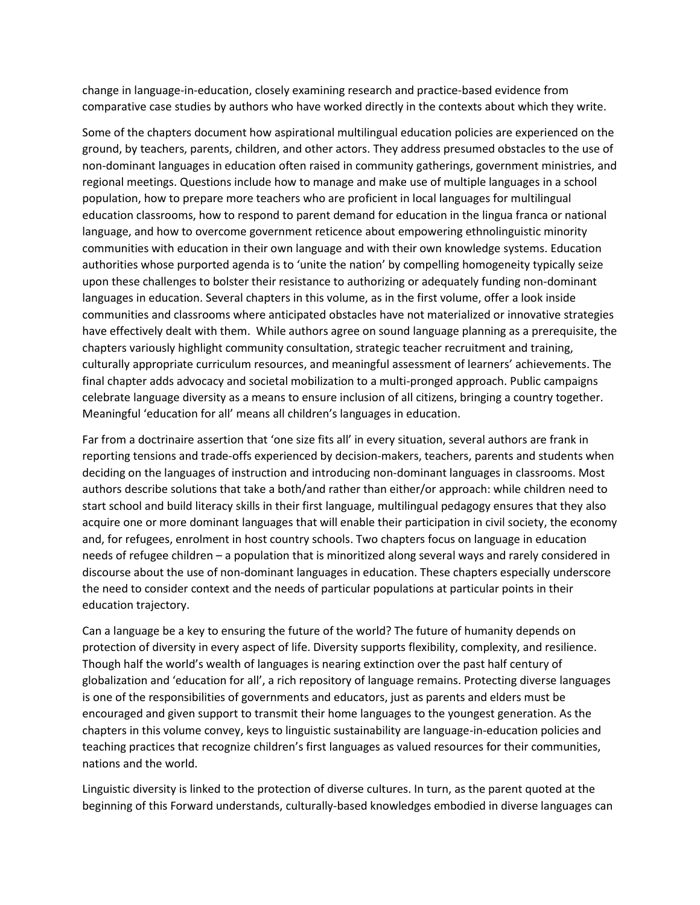change in language-in-education, closely examining research and practice-based evidence from comparative case studies by authors who have worked directly in the contexts about which they write.

Some of the chapters document how aspirational multilingual education policies are experienced on the ground, by teachers, parents, children, and other actors. They address presumed obstacles to the use of non-dominant languages in education often raised in community gatherings, government ministries, and regional meetings. Questions include how to manage and make use of multiple languages in a school population, how to prepare more teachers who are proficient in local languages for multilingual education classrooms, how to respond to parent demand for education in the lingua franca or national language, and how to overcome government reticence about empowering ethnolinguistic minority communities with education in their own language and with their own knowledge systems. Education authorities whose purported agenda is to 'unite the nation' by compelling homogeneity typically seize upon these challenges to bolster their resistance to authorizing or adequately funding non-dominant languages in education. Several chapters in this volume, as in the first volume, offer a look inside communities and classrooms where anticipated obstacles have not materialized or innovative strategies have effectively dealt with them. While authors agree on sound language planning as a prerequisite, the chapters variously highlight community consultation, strategic teacher recruitment and training, culturally appropriate curriculum resources, and meaningful assessment of learners' achievements. The final chapter adds advocacy and societal mobilization to a multi-pronged approach. Public campaigns celebrate language diversity as a means to ensure inclusion of all citizens, bringing a country together. Meaningful 'education for all' means all children's languages in education.

Far from a doctrinaire assertion that 'one size fits all' in every situation, several authors are frank in reporting tensions and trade-offs experienced by decision-makers, teachers, parents and students when deciding on the languages of instruction and introducing non-dominant languages in classrooms. Most authors describe solutions that take a both/and rather than either/or approach: while children need to start school and build literacy skills in their first language, multilingual pedagogy ensures that they also acquire one or more dominant languages that will enable their participation in civil society, the economy and, for refugees, enrolment in host country schools. Two chapters focus on language in education needs of refugee children – a population that is minoritized along several ways and rarely considered in discourse about the use of non-dominant languages in education. These chapters especially underscore the need to consider context and the needs of particular populations at particular points in their education trajectory.

Can a language be a key to ensuring the future of the world? The future of humanity depends on protection of diversity in every aspect of life. Diversity supports flexibility, complexity, and resilience. Though half the world's wealth of languages is nearing extinction over the past half century of globalization and 'education for all', a rich repository of language remains. Protecting diverse languages is one of the responsibilities of governments and educators, just as parents and elders must be encouraged and given support to transmit their home languages to the youngest generation. As the chapters in this volume convey, keys to linguistic sustainability are language-in-education policies and teaching practices that recognize children's first languages as valued resources for their communities, nations and the world.

Linguistic diversity is linked to the protection of diverse cultures. In turn, as the parent quoted at the beginning of this Forward understands, culturally-based knowledges embodied in diverse languages can